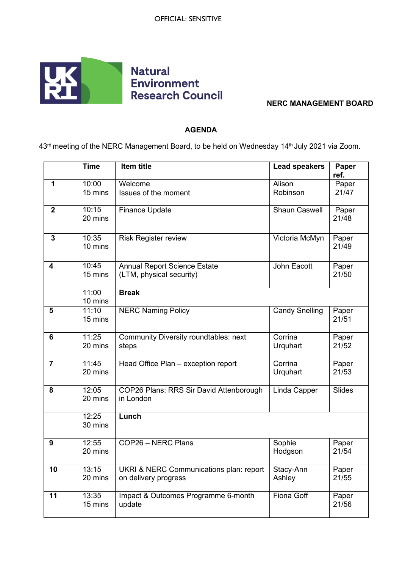

## **NERC MANAGEMENT BOARD**

## **AGENDA**

43<sup>rd</sup> meeting of the NERC Management Board, to be held on Wednesday 14<sup>th</sup> July 2021 via Zoom.

|                  | <b>Time</b>      | <b>Item title</b>                                               | <b>Lead speakers</b>  | Paper          |
|------------------|------------------|-----------------------------------------------------------------|-----------------------|----------------|
| 1                | 10:00            | Welcome                                                         | Alison                | ref.           |
|                  | 15 mins          | Issues of the moment                                            | Robinson              | Paper<br>21/47 |
| $\boldsymbol{2}$ | 10:15<br>20 mins | <b>Finance Update</b>                                           | <b>Shaun Caswell</b>  | Paper<br>21/48 |
| $\overline{3}$   | 10:35<br>10 mins | <b>Risk Register review</b>                                     | Victoria McMyn        | Paper<br>21/49 |
| 4                | 10:45<br>15 mins | <b>Annual Report Science Estate</b><br>(LTM, physical security) | John Eacott           | Paper<br>21/50 |
|                  | 11:00<br>10 mins | <b>Break</b>                                                    |                       |                |
| 5                | 11:10<br>15 mins | <b>NERC Naming Policy</b>                                       | <b>Candy Snelling</b> | Paper<br>21/51 |
| 6                | 11:25<br>20 mins | <b>Community Diversity roundtables: next</b><br>steps           | Corrina<br>Urquhart   | Paper<br>21/52 |
| $\overline{7}$   | 11:45<br>20 mins | Head Office Plan - exception report                             | Corrina<br>Urquhart   | Paper<br>21/53 |
| 8                | 12:05<br>20 mins | COP26 Plans: RRS Sir David Attenborough<br>in London            | Linda Capper          | Slides         |
|                  | 12:25<br>30 mins | Lunch                                                           |                       |                |
| 9                | 12:55<br>20 mins | COP26 - NERC Plans                                              | Sophie<br>Hodgson     | Paper<br>21/54 |
| 10               | 13:15<br>20 mins | UKRI & NERC Communications plan: report<br>on delivery progress | Stacy-Ann<br>Ashley   | Paper<br>21/55 |
| 11               | 13:35<br>15 mins | Impact & Outcomes Programme 6-month<br>update                   | Fiona Goff            | Paper<br>21/56 |